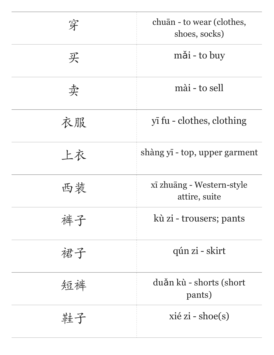| 穿  | chuān - to wear (clothes,<br>shoes, socks) |
|----|--------------------------------------------|
| 买  | mǎi - to buy                               |
| 卖  | mài - to sell                              |
| 衣服 | yī fu - clothes, clothing                  |
| 上衣 | shàng yī - top, upper garment              |
| 西装 | xī zhuāng - Western-style<br>attire, suite |
| 裤子 | kù zi - trousers; pants                    |
| 裙子 | qún zi - skirt                             |
| 短裤 | duǎn kù - shorts (short<br>pants)          |
| 鞋子 | $xi$ zi - shoe(s)                          |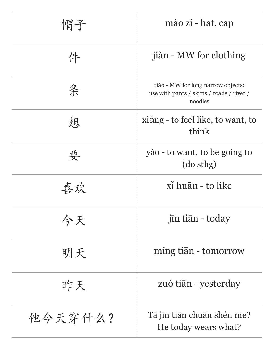| 帽子      | mào zi - hat, cap                                                                          |
|---------|--------------------------------------------------------------------------------------------|
| 件       | jiàn - MW for clothing                                                                     |
| 条       | tiáo - MW for long narrow objects:<br>use with pants / skirts / roads / river /<br>noodles |
| 想       | xiǎng - to feel like, to want, to<br>think                                                 |
| 要       | yào - to want, to be going to<br>(do sthg)                                                 |
| 喜欢      | xì huān - to like                                                                          |
| 今天      | jīn tiān - today                                                                           |
| 明天      | míng tiān - tomorrow                                                                       |
| 昨天      | zuó tiān - yesterday                                                                       |
| 他今天穿什么? | Tā jīn tiān chuān shén me?<br>He today wears what?                                         |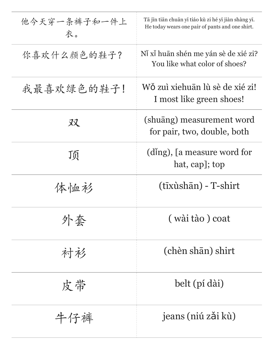| 他今天穿一条裤子和一件上<br>衣。 | Tā jīn tiān chuān yī tiáo kù zi hé yī jiàn shàng yī.<br>He today wears one pair of pants and one shirt. |
|--------------------|---------------------------------------------------------------------------------------------------------|
| 你喜欢什么颜色的鞋子?        | Ni xi huān shén me yán sè de xié zi?<br>You like what color of shoes?                                   |
| 我最喜欢绿色的鞋子!         | Wǒ zuì xiehuān lù sè de xié zi!<br>I most like green shoes!                                             |
| 双                  | (shuāng) measurement word<br>for pair, two, double, both                                                |
| 顶                  | (ding), [a measure word for<br>hat, cap]; top                                                           |
| 体恤衫                | (tīxùshān) - T-shirt                                                                                    |
| 外套                 | (wài tào) coat                                                                                          |
| 衬衫                 | (chèn shān) shirt                                                                                       |
| 皮带                 | belt (pí dài)                                                                                           |
| 牛仔裤                | jeans (niú zǎi kù)                                                                                      |